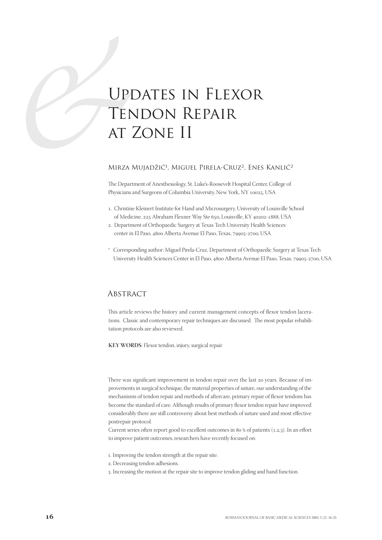# **SEPT TEN**<br>
AT AT AT AT A Updates in Flexor Tendon Repair at Zone II

## MIRZA MUJADŽIĆ<sup>1</sup>, MIGUEL PIRELA-CRUZ<sup>2</sup>, ENES KANLIĆ<sup>2</sup>

The Department of Anesthesiology, St. Luke's-Roosevelt Hospital Center, College of Physicians and Surgeons of Columbia University, New York, NY 10025, USA

- . Christine Kleinert Institute for Hand and Microsurgery, University of Louisville School of Medicine, 225 Abraham Flexner Way Ste 650, Louisville, KY 40202-1888, USA
- . Department of Orthopaedic Surgery at Texas Tech University Health Sciences center in El Paso, 4800 Alberta Avenue El Paso, Texas, 79905-2700, USA
- \* Corresponding author: Miguel Pirela-Cruz, Department of Orthopaedic Surgery at Texas Tech University Health Sciences Center in El Paso, 4800 Alberta Avenue El Paso, Texas, 79905-2700, USA

## **ABSTRACT**

This article reviews the history and current management concepts of flexor tendon lacerations. Classic and contemporary repair techniques are discussed. The most popular rehabilitation protocols are also reviewed.

**KEY WORDS**: Flexor tendon, injury, surgical repair

There was significant improvement in tendon repair over the last 20 years. Because of improvements in surgical technique, the material properties of suture, our understanding of the mechanisms of tendon repair and methods of aftercare, primary repair of flexor tendons has become the standard of care. Although results of primary flexor tendon repair have improved considerably there are still controversy about best methods of suture used and most effective postrepair protocol.

Current series often report good to excellent outcomes in 80 % of patients  $(1,2,3)$ . In an effort to improve patient outcomes, researchers have recently focused on:

- . Improving the tendon strength at the repair site.
- . Decreasing tendon adhesions.
- . Increasing the motion at the repair site to improve tendon gliding and hand function.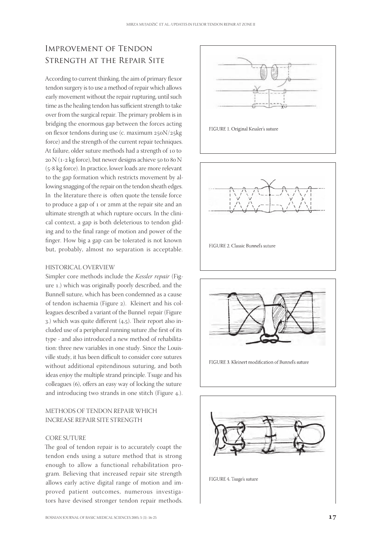# Improvement of Tendon Strength at the Repair Site

According to current thinking, the aim of primary flexor tendon surgery is to use a method of repair which allows early movement without the repair rupturing, until such time as the healing tendon has sufficient strength to take over from the surgical repair. The primary problem is in bridging the enormous gap between the forces acting on flexor tendons during use (c. maximum  $250N/25kg$ force) and the strength of the current repair techniques. At failure, older suture methods had a strength of 10 to  $20$  N (1-2 kg force), but newer designs achieve  $50$  to  $80$  N  $(5-8 \text{ kg force})$ . In practice, lower loads are more relevant to the gap formation which restricts movement by allowing snagging of the repair on the tendon sheath edges. In the literature there is often quote the tensile force to produce a gap of 1 or 2mm at the repair site and an ultimate strength at which rupture occurs. In the clinical context, a gap is both deleterious to tendon gliding and to the final range of motion and power of the finger. How big a gap can be tolerated is not known but, probably, almost no separation is acceptable.

# HISTORICAL OVERVIEW

Simpler core methods include the *Kessler repair* (Figure 1.) which was originally poorly described, and the Bunnell suture, which has been condemned as a cause of tendon ischaemia (Figure 2). Kleinert and his colleagues described a variant of the Bunnel repair (Figure 3.) which was quite different  $(4,5)$ . Their report also included use of a peripheral running suture ,the first of its type - and also introduced a new method of rehabilitation: three new variables in one study. Since the Louisville study, it has been difficult to consider core sutures without additional epitendinous suturing, and both ideas enjoy the multiple strand principle. Tsuge and his colleagues (6), offers an easy way of locking the suture and introducing two strands in one stitch (Figure 4.).

# METHODS OF TENDON REPAIR WHICH INCREASE REPAIR SITE STRENGTH

## CORE SUTURE

The goal of tendon repair is to accurately coapt the tendon ends using a suture method that is strong enough to allow a functional rehabilitation program. Believing that increased repair site strength allows early active digital range of motion and improved patient outcomes, numerous investigators have devised stronger tendon repair methods.







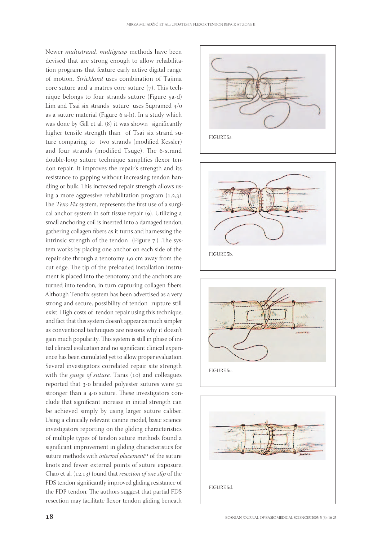Newer *multistrand, multigrasp* methods have been devised that are strong enough to allow rehabilitation programs that feature early active digital range of motion. *Strickland* uses combination of Tajima core suture and a matres core suture  $(7)$ . This technique belongs to four strands suture (Figure a-d) Lim and Tsai six strands suture uses Supramed  $4/0$ as a suture material (Figure 6 a-h). In a study which was done by Gill et al. (8) it was shown significantly higher tensile strength than of Tsai six strand suture comparing to two strands (modified Kessler) and four strands (modified Tsuge). The 6-strand double-loop suture technique simplifies flexor tendon repair. It improves the repair's strength and its resistance to gapping without increasing tendon handling or bulk. This increased repair strength allows using a more aggressive rehabilitation program  $(1,2,3)$ . The *Teno Fix* system, represents the first use of a surgical anchor system in soft tissue repair (9). Utilizing a small anchoring coil is inserted into a damaged tendon, gathering collagen fibers as it turns and harnessing the intrinsic strength of the tendon (Figure  $7$ .) .The system works by placing one anchor on each side of the repair site through a tenotomy 1,0 cm away from the cut edge. The tip of the preloaded installation instrument is placed into the tenotomy and the anchors are turned into tendon, in turn capturing collagen fibers. Although Tenofix system has been advertised as a very strong and secure, possibility of tendon rupture still exist. High costs of tendon repair using this technique, and fact that this system doesn't appear as much simpler as conventional techniques are reasons why it doesn't gain much popularity. This system is still in phase of initial clinical evaluation and no significant clinical experience has been cumulated yet to allow proper evaluation. Several investigators correlated repair site strength with the *gauge of suture*. Taras (10) and colleagues reported that 3-0 braided polyester sutures were 52 stronger than a 4-0 suture. These investigators conclude that significant increase in initial strength can be achieved simply by using larger suture caliber. Using a clinically relevant canine model, basic science investigators reporting on the gliding characteristics of multiple types of tendon suture methods found a significant improvement in gliding characteristics for suture methods with *internal placement*<sup>11</sup> of the suture knots and fewer external points of suture exposure. Chao et al. (12,13) found that *resection of one slip* of the FDS tendon significantly improved gliding resistance of the FDP tendon. The authors suggest that partial FDS resection may facilitate flexor tendon gliding beneath







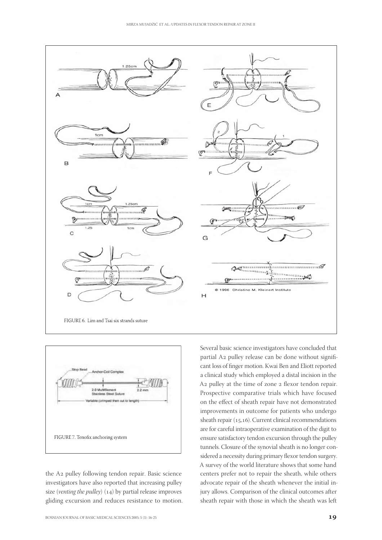



the A2 pulley following tendon repair. Basic science investigators have also reported that increasing pulley size (*venting the pulley*) (14) by partial release improves gliding excursion and reduces resistance to motion. A2 pulley at the time of zone 2 flexor tendon repair. Prospective comparative trials which have focused on the effect of sheath repair have not demonstrated improvements in outcome for patients who undergo sheath repair  $(15,16)$ . Current clinical recommendations are for careful intraoperative examination of the digit to ensure satisfactory tendon excursion through the pulley tunnels. Closure of the synovial sheath is no longer considered a necessity during primary flexor tendon surgery. A survey of the world literature shows that some hand centers prefer not to repair the sheath, while others advocate repair of the sheath whenever the initial injury allows. Comparison of the clinical outcomes after sheath repair with those in which the sheath was left

Several basic science investigators have concluded that partial A2 pulley release can be done without significant loss of finger motion. Kwai Ben and Eliott reported a clinical study which employed a distal incision in the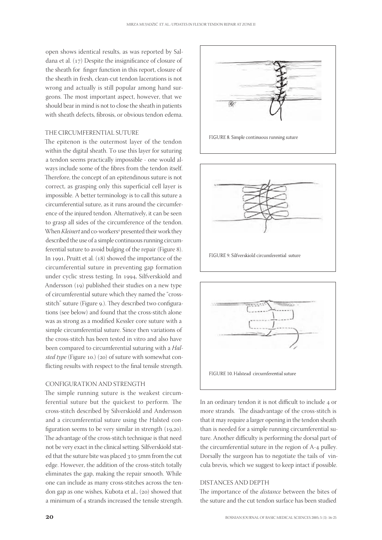open shows identical results, as was reported by Saldana et al.  $(17)$  Despite the insignificance of closure of the sheath for finger function in this report, closure of the sheath in fresh, clean-cut tendon lacerations is not wrong and actually is still popular among hand surgeons. The most important aspect, however, that we should bear in mind is not to close the sheath in patients with sheath defects, fibrosis, or obvious tendon edema.

## THE CIRCUMFERENTIAL SUTURE

The epitenon is the outermost layer of the tendon within the digital sheath. To use this layer for suturing a tendon seems practically impossible - one would always include some of the fibres from the tendon itself. Therefore, the concept of an epitendinous suture is not correct, as grasping only this superficial cell layer is impossible. A better terminology is to call this suture a circumferential suture, as it runs around the circumference of the injured tendon. Alternatively, it can be seen to grasp all sides of the circumference of the tendon. When *Kleinert* and co-workers<sup>4</sup> presented their work they described the use of a simple continuous running circumferential suture to avoid bulging of the repair (Figure 8). In 1991, Pruitt et al.  $(18)$  showed the importance of the circumferential suture in preventing gap formation under cyclic stress testing. In 1994, Silfverskiold and Andersson  $(19)$  published their studies on a new type of circumferential suture which they named the "crossstitch" suture (Figure 9.). They described two configurations (see below) and found that the cross-stitch alone was as strong as a modified Kessler core suture with a simple circumferential suture. Since then variations of the cross-stitch has been tested in vitro and also have been compared to circumferential suturing with a *Halsted type* (Figure 10.) (20) of suture with somewhat conflicting results with respect to the final tensile strength.

#### CONFIGURATION AND STRENGTH

The simple running suture is the weakest circumferential suture but the quickest to perform. The cross-stitch described by Silverskiold and Andersson and a circumferential suture using the Halsted configuration seems to be very similar in strength  $(19,20)$ . The advantage of the cross-stitch technique is that need not be very exact in the clinical setting. Silfverskiold stated that the suture bite was placed 3 to 5mm from the cut edge. However, the addition of the cross-stitch totally eliminates the gap, making the repair smooth. While one can include as many cross-stitches across the tendon gap as one wishes, Kubota et al., (20) showed that a minimum of 4 strands increased the tensile strength.







In an ordinary tendon it is not difficult to include 4 or more strands. The disadvantage of the cross-stitch is that it may require a larger opening in the tendon sheath than is needed for a simple running circumferential suture. Another difficulty is performing the dorsal part of the circumferential suture in the region of A-4 pulley. Dorsally the surgeon has to negotiate the tails of vincula brevis, which we suggest to keep intact if possible.

#### DISTANCES AND DEPTH

The importance of the *distance* between the bites of the suture and the cut tendon surface has been studied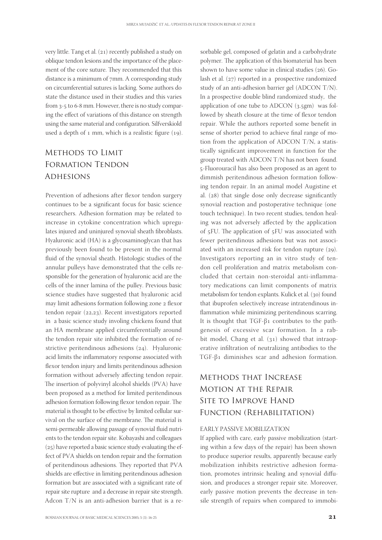very little. Tang et al.  $(21)$  recently published a study on oblique tendon lesions and the importance of the placement of the core suture. They recommended that this distance is a minimum of 7mm. A corresponding study on circumferential sutures is lacking. Some authors do state the distance used in their studies and this varies from 3-5 to 6-8 mm. However, there is no study comparing the effect of variations of this distance on strength using the same material and configuration. Silfverskiold used a depth of  $1$  mm, which is a realistic figure  $(19)$ .

# Methods to LimitFormation Tendon **ADHESIONS**

Prevention of adhesions after flexor tendon surgery continues to be a significant focus for basic science researchers. Adhesion formation may be related to increase in cytokine concentration which upregulates injured and uninjured synovial sheath fibroblasts. Hyaluronic acid (HA) is a glycosaminoglycan that has previously been found to be present in the normal fluid of the synovial sheath. Histologic studies of the annular pulleys have demonstrated that the cells responsible for the generation of hyaluronic acid are the cells of the inner lamina of the pulley. Previous basic science studies have suggested that hyaluronic acid may limit adhesions formation following zone 2 flexor tendon repair  $(22,23)$ . Recent investigators reported in a basic science study involing chickens found that an HA membrane applied circumferentially around the tendon repair site inhibited the formation of restrictive peritendinous adhesions  $(24)$ . Hyaluronic acid limits the inflammatory response associated with flexor tendon injury and limits peritendinous adhesion formation without adversely affecting tendon repair. The insertion of polyvinyl alcohol shields (PVA) have been proposed as a method for limited peritendinous adhesion formation following flexor tendon repair. The material is thought to be effective by limited cellular survival on the surface of the membrane. The material is semi-permeable allowing passage of synovial fluid nutrients to the tendon repair site. Kobayashi and colleagues  $(25)$  have reported a basic science study evaluating the effect of PVA shields on tendon repair and the formation of peritendinous adhesions. They reported that PVA shields are effective in limiting peritendinous adhesion formation but are associated with a significant rate of repair site rupture and a decrease in repair site strength. Adcon T/N is an anti-adhesion barrier that is a re-

polymer. The application of this biomaterial has been shown to have some value in clinical studies  $(26)$ . Golash et al.  $(27)$  reported in a prospective randomized study of an anti-adhesion barrier gel (ADCON T/N). In a prospective double blind randomized study, the application of one tube to ADCON  $(3.5gm)$  was followed by sheath closure at the time of flexor tendon repair. While the authors reported some benefit in sense of shorter period to achieve final range of motion from the application of ADCON T/N, a statistically significant improvement in function for the group treated with ADCON T/N has not been found. -Fluorouracil has also been proposed as an agent to dimmish peritendinous adhesion formation following tendon repair. In an animal model Augistine et al.  $(28)$  that single dose only decrease significantly synovial reaction and postoperative technique (one touch technique). In two recent studies, tendon healing was not adversely affected by the application of 5FU. The application of 5FU was associated with fewer peritendinous adhesions but was not associated with an increased risk for tendon rupture  $(29)$ . Investigators reporting an in vitro study of tendon cell proliferation and matrix metabolism concluded that certain non-steroidal anti-inflammatory medications can limit components of matrix metabolism for tendon explants. Kulick et al. (30) found that ibuprofen selectively increase intratendinous inflammation while minimizing peritendinous scarring. It is thought that  $TGF-β_1$  contributes to the pathgenesis of excessive scar formation. In a rabbit model, Chang et al.  $(31)$  showed that intraoperative infiltration of neutralizing antibodies to the TGF-β1 diminishes scar and adhesion formation.

sorbable gel, composed of gelatin and a carbohydrate

# Methods that Increase Motion at the Repair Site to Improve Hand Function (Rehabilitation)

#### EARLY PASSIVE MOBILIZATION

If applied with care, early passive mobilization (starting within a few days of the repair) has been shown to produce superior results, apparently because early mobilization inhibits restrictive adhesion formation, promotes intrinsic healing and synovial diffusion, and produces a stronger repair site. Moreover, early passive motion prevents the decrease in tensile strength of repairs when compared to immobi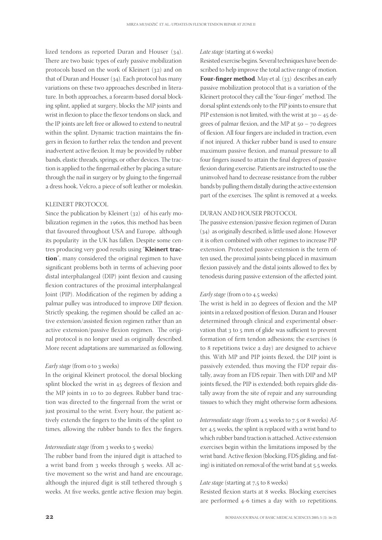lized tendons as reported Duran and Houser  $(34)$ . There are two basic types of early passive mobilization protocols based on the work of Kleinert  $(32)$  and on that of Duran and Houser  $(34)$ . Each protocol has many variations on these two approaches described in literature. In both approaches, a forearm-based dorsal blocking splint, applied at surgery, blocks the MP joints and wrist in flexion to place the flexor tendons on slack, and the IP joints are left free or allowed to extend to neutral within the splint. Dynamic traction maintains the fingers in flexion to further relax the tendon and prevent inadvertent active flexion. It may be provided by rubber bands, elastic threads, springs, or other devices. The traction is applied to the fingernail either by placing a suture through the nail in surgery or by gluing to the fingernail a dress hook, Velcro, a piece of soft leather or moleskin.

#### KLEINERT PROTOCOL

Since the publication by Kleinert  $(32)$  of his early mobilization regimen in the 1960s, this method has been that favoured throughout USA and Europe, although its popularity in the UK has fallen. Despite some centres producing very good results using "**Kleinert traction**", many considered the original regimen to have significant problems both in terms of achieving poor distal interphalangeal (DIP) joint flexion and causing flexion contractures of the proximal interphalangeal Joint (PIP). Modification of the regimen by adding a palmar pulley was introduced to improve DIP flexion. Strictly speaking, the regimen should be called an active extension/assisted flexion regimen rather than an active extension/passive flexion regimen. The original protocol is no longer used as originally described. More recent adaptations are summarized as following.

#### *Early stage* (from o to 3 weeks)

In the original Kleinert protocol, the dorsal blocking splint blocked the wrist in 45 degrees of flexion and the MP joints in 10 to 20 degrees. Rubber band traction was directed to the fingernail from the wrist or just proximal to the wrist. Every hour, the patient actively extends the fingers to the limits of the splint times, allowing the rubber bands to flex the fingers.

#### *Intermediate stage* (from 3 weeks to 5 weeks)

The rubber band from the injured digit is attached to a wrist band from 3 weeks through 5 weeks. All active movement so the wrist and hand are encourage, although the injured digit is still tethered through weeks. At five weeks, gentle active flexion may begin.

#### Late stage (starting at 6 weeks)

Resisted exercise begins. Several techniques have been described to help improve the total active range of motion. **Four-finger method**. May et al. (33) describes an early passive mobilization protocol that is a variation of the Kleinert protocol they call the "four-finger" method. The dorsal splint extends only to the PIP joints to ensure that PIP extension is not limited, with the wrist at  $30 - 45$  degrees of palmar flexion, and the MP at  $50 - 70$  degrees of flexion. All four fingers are included in traction, even if not injured. A thicker rubber band is used to ensure maximum passive flexion, and manual pressure to all four fingers isused to attain the final degrees of passive flexion during exercise. Patients are instructed to use the uninvolved hand to decrease resistance from the rubber bands by pulling them distally during the active extension part of the exercises. The splint is removed at 4 weeks.

#### DURAN AND HOUSER PROTOCOL

The passive extension/passive flexion regimen of Duran (34) as originally described, is little used alone. However it is often combined with other regimes to increase PIP extension. Protected passive extension is the term often used, the proximal joints being placed in maximum flexion passively and the distal joints allowed to flex by tenodesis during passive extension of the affected joint.

#### *Early stage* (from o to 4.5 weeks)

The wrist is held in 20 degrees of flexion and the MP joints in a relaxed position of flexion. Duran and Houser determined through clinical and experimental observation that 3 to 5 mm of glide was sufficient to prevent formation of firm tendon adhesions; the exercises ( to 8 repetitions twice a day) are designed to achieve this. With MP and PIP joints flexed, the DIP joint is passively extended, thus moving the FDP repair distally, away from an FDS repair. Then with DIP and MP joints flexed, the PIP is extended; both repairs glide distally away from the site of repair and any surrounding tissues to which they might otherwise form adhesions.

*Intermediate stage* (from 4.5 weeks to 7.5 or 8 weeks) After 4.5 weeks, the splint is replaced with a wrist band to which rubber band traction is attached. Active extension exercises begin within the limitations imposed by the wrist band. Active flexion (blocking, FDS gliding, and fisting) is initiated on removal of the wrist band at 5.5 weeks.

#### *Late stage* (starting at 7,5 to 8 weeks)

Resisted flexion starts at 8 weeks. Blocking exercises are performed 4-6 times a day with 10 repetitions.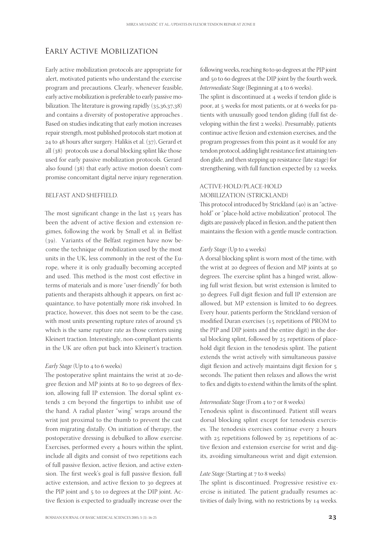# Early Active Mobilization

Early active mobilization protocols are appropriate for alert, motivated patients who understand the exercise program and precautions. Clearly, whenever feasible, early active mobilization is preferable to early passive mobilization. The literature is growing rapidly  $(35,36,37,38)$ and contains a diversity of postoperative approaches . Based on studies indicating that early motion increases repair strength, most published protocols start motion at 24 to 48 hours after surgery. Halikis et al.  $(37)$ , Gerard et all  $(38)$  protocols use a dorsal blocking splint like those used for early passive mobilization protocols. Gerard also found  $(38)$  that early active motion doesn't compromise concomitant digital nerve injury regeneration.

#### BELFAST AND SHEFFIELD.

The most significant change in the last 15 years has been the advent of active flexion and extension regimes, following the work by Small et al. in Belfast  $(39)$ . Variants of the Belfast regimen have now become the technique of mobilization used by the most units in the UK, less commonly in the rest of the Europe, where it is only gradually becoming accepted and used. This method is the most cost effective in terms of materials and is more "user-friendly" for both patients and therapists although it appears, on first acquaintance, to have potentially more risk involved. In practice, however, this does not seem to be the case, with most units presenting rupture rates of around 5% which is the same rupture rate as those centers using Kleinert traction. Interestingly, non-compliant patients in the UK are often put back into Kleinert's traction.

#### *Early Stage* (Up to 4 to 6 weeks)

The postoperative splint maintains the wrist at 20-degree flexion and MP joints at 80 to 90 degrees of flexion, allowing full IP extension. The dorsal splint extends 2 cm beyond the fingertips to inhibit use of the hand. A radial plaster "wing" wraps around the wrist just proximal to the thumb to prevent the cast from migrating distally. On initiation of therapy, the postoperative dressing is debulked to allow exercise. Exercises, performed every 4 hours within the splint, include all digits and consist of two repetitions each of full passive flexion, active flexion, and active extension. The first week's goal is full passive flexion, full active extension, and active flexion to 30 degrees at the PIP joint and  $5$  to 10 degrees at the DIP joint. Active flexion is expected to gradually increase over the

following weeks, reaching 80 to 90 degrees at the PIP joint and 50 to 60 degrees at the DIP joint by the fourth week. *Intermediate Stage* (Beginning at 4 to 6 weeks).

The splint is discontinued at 4 weeks if tendon glide is poor, at 5 weeks for most patients, or at 6 weeks for patients with unusually good tendon gliding (full fist developing within the first 2 weeks). Presumably, patients continue active flexion and extension exercises, and the program progresses from this point as it would for any tendon protocol, adding light resistance first attaining tendon glide, and then stepping up resistance (late stage) for strengthening, with full function expected by 12 weeks.

## ACTIVE-HOLD/PLACE-HOLD MOBILIZATION (STRICKLAND)

This protocol introduced by Strickland  $(40)$  is an "activehold" or "place-hold active mobilization" protocol. The digits are passively placed in flexion, and the patient then maintains the flexion with a gentle muscle contraction.

#### *Early Stage* (Up to 4 weeks)

A dorsal blocking splint is worn most of the time, with the wrist at 20 degrees of flexion and MP joints at  $50$ degrees. The exercise splint has a hinged wrist, allowing full wrist flexion, but wrist extension is limited to 30 degrees. Full digit flexion and full IP extension are allowed, but MP extension is limited to 60 degrees. Every hour, patients perform the Strickland version of modified Duran exercises (15 repetitions of PROM to the PIP and DIP joints and the entire digit) in the dorsal blocking splint, followed by 25 repetitions of placehold digit flexion in the tenodesis splint. The patient extends the wrist actively with simultaneous passive digit flexion and actively maintains digit flexion for 5 seconds. The patient then relaxes and allows the wrist to flex and digits to extend within the limits of the splint.

#### *Intermediate Stage* (From 4 to 7 or 8 weeks)

Tenodesis splint is discontinued. Patient still wears dorsal blocking splint except for tenodesis exercises. The tenodesis exercises continue every 2 hours with  $25$  repetitions followed by  $25$  repetitions of active flexion and extension exercise for wrist and digits, avoiding simultaneous wrist and digit extension.

#### *Late Stage* (Starting at 7 to 8 weeks)

The splint is discontinued. Progressive resistive exercise is initiated. The patient gradually resumes activities of daily living, with no restrictions by 14 weeks.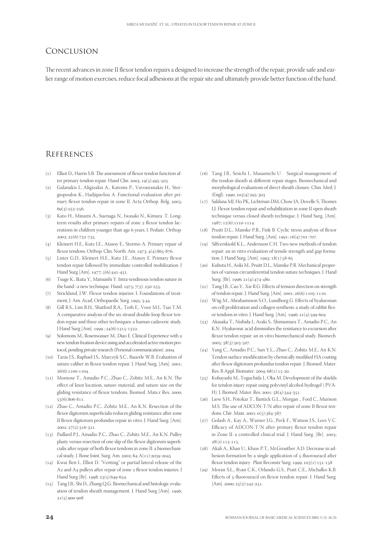# Conclusion

The recent advances in zone II flexor tendon repairs a designed to increase the strength of the repair, provide safe and earlier range of motion exercises, reduce focal adhesions at the repair site and ultimately provide better function of the hand.

# **REFERENCES**

- $(1)$  Elliot D., Harris S.B. The assessment of flexor tendon function after primary tendon repair. Hand Clin.  $2003$ ;  $19(3):495-503$ .
- () Galanakis I., Aligizakis A., Katonis P., Vavouranakis H., Stergiopoulos K., Hadjipavlou A. Functional evaluation after primary flexor tendon repair in zone II. Acta Orthop. Belg. 2003;  $60(3)252 - 256$
- () Kato H., Minami A., Suenaga N., Iwasaki N., Kimura .T. Longterm results after primary repairs of zone 2 flexor tendon lacerations in children younger than age 6 years. J. Pediatr. Orthop. 2002; 22(6):732-735.
- () Kleinert H.E., Kutz J.E., Atasoy E., Stormo A. Primary repair of flexor tendons. Orthop. Clin. North. Am. 1973;  $4(4):865-876$ .
- () Lister G.D., Kleinert H.E., Kutz J.E., Atasoy E. Primary flexor tendon repair followed by immediate controlled mobilization. J Hand Surg [Am]. 1977; 2(6):441-451.
- () Tsuge K., Ikuta Y., Matsuishi Y. Intra-tendinous tendon suture in the hand--a new technique. Hand.  $1975$ ;  $7(3)$ :  $250-255$ .
- (7) Strickland, J.W. Flexor tendon injuries: I. Foundations of treatment, J. Am. Acad. Orthopaedic Surg. 1995; 3:44
- () Gill R.S., Lim B.H., Shatford R.A., Toth E., Voor M.J., Tsai T.M. A comparative analysis of the six-strand double-loop flexor tendon repair and three other techniques: a human cadaveric study. J Hand Surg [Am]. 1999 ; 24(6):1315-1322.
- (9) Solomons M., Rosenwasser M., Diao E. Clinical Experience with a new tendon fixation device using and accelerated active motion protocol, pending private research (Personal communication). 2004.
- () Taras J.S., Raphael J.S., Marczyk S.C., Bauerle W.B. Evaluation of suture caliber in flexor tendon repair. J. Hand Surg. [Am]. 2001:  $26(6):1100-1104$
- () Momose T., Amadio P.C., Zhao C., Zobitz M.E., An K.N. The effect of knot location, suture material, and suture size on the gliding resistance of flexor tendons. Biomed. Mate.r Res. 2000; 53(6):806-811.
- () Zhao C., Amadio P.C., Zobitz M.E., An K.N. Resection of the flexor digitorum superficialis reduces gliding resistance after zone II flexor digitorum profundus repair in vitro. J. Hand Surg. [Am].  $2002: 27(2): 316-321$
- () Paillard P.J., Amadio P.C., Zhao C., Zobitz M.E., An K.N. Pulley plasty versus resection of one slip of the flexor digitorum superficialis after repair of both flexor tendons in zone II: a biomechanical study. J. Bone Joint. Surg. Am. 2002; 84-A(11):2039-2045
- $(14)$  Kwai Ben I., Elliot D. "Venting" or partial lateral release of the A<sub>2</sub> and A<sub>4</sub> pulleys after repair of zone <sub>2</sub> flexor tendon injuries. J Hand Surg [Br]. 1998; 23(5):649-654.
- () Tang J.B., Shi D., Zhang Q.G. Biomechanical and histologic evaluation of tendon sheath management. J. Hand Surg [Am]. 1996;  $21(5):900-908$
- () Tang J.B., Seiichi I., Masamichi U. Surgical management of the tendon sheath at different repair stages. Biomechanical and morphological evaluations of direct sheath closure. Chin. Med. J.  $(End), 1990; 103(4):295-303$
- () Saldana MJ, Ho PK, Lichtman DM, Chow JA, Dovelle S, Thomes LJ. Flexor tendon repair and rehabilitation in zone II open sheath technique versus closed sheath technique. J. Hand Surg. [Am]. 1987; 12(6):1110-1114.
- () Pruitt D.L., Manske P.R., Fink B. Cyclic stress analysis of flexor tendon repair. J. Hand Surg. [Am]. 1991; 16(4):701-707.
- (19) Silfverskiold K.L., Andersson C.H. Two new methods of tendon repair: an in vitro evaluation of tensile strength and gap formation. J. Hand Surg. [Am]. 1993; 18(1):58-65
- (20) Kubota H., Aoki M., Pruitt D.L., Manske P.R. Mechanical properties of various circumferential tendon suture techniques. J. Hand Surg. [Br]. 1996;  $21(4):474-480$ .
- () Tang J.B., Cao Y., Xie R.G. Effects of tension direction on strength of tendon repair. J. Hand Surg. [Am]. 2001; 26(6):1105-1110.
- (22) Wiig M., Abrahamsson S.O., Lundborg G. Effects of hyaluronan on cell proliferation and collagen synthesis: a study of rabbit flexor tendons in vitro. J. Hand Surg. [Am]. 1996; 21(4):599-604.
- () Akasaka T., Nishida J., Araki S., Shimamura T., Amadio P.C., An K.N. Hyaluronic acid diminishes the resistance to excursion after flexor tendon repair: an in vitro biomechanical study. Biomech. 2005; 38(3):503-507.
- () Yang C., Amadio P.C., Sun Y.L., Zhao C., Zobitz M.E., An K.N. Tendon surface modification by chemically modified HA coating after flexor digitorum profundus tendon repair. J. Biomed. Mater. Res. B Appl. Biomater. 2004; 68(1):15-20.
- (25) Kobayashi M., Toguchida J., Oka M. Development of the shields for tendon injury repair using polyvinyl alcohol-hydrogel ( PVA-H). J. Biomed. Mater. Res. 2001; 58(4):344-351.
- (26) Liew S.H., Potokar T., Bantick G.L., Morgan ., Ford C., Murison M.S. The use of ADCON-T/N after repair of zone II flexor tendons. Chir. Main. 2001; 0(5):384-387.
- (27) Golash A., Kay A., Warner J.G., Peck F., Watson J.S., Lees V.C. Efficacy of ADCON-T/N after primary flexor tendon repair in Zone II: a controlled clinical trial. J. Hand Surg. [Br]. 2003;  $28(2)$ :112-115
- () Akali A., Khan U., Khaw P.T., McGrouther A.D. Decrease in adhesion formation by a single application of 5-fluorouracil after flexor tendon injury. Plast Reconstr Surg. 1999;  $103(1):151-158$
- () Moran S.L., Ryan C.K., Orlando G.S., Pratt C.E., Michalko K.B. Effects of 5-fluorouracil on flexor tendon repair. J. Hand Surg.  $[Am]$ . 2000; 25(2):242-251.